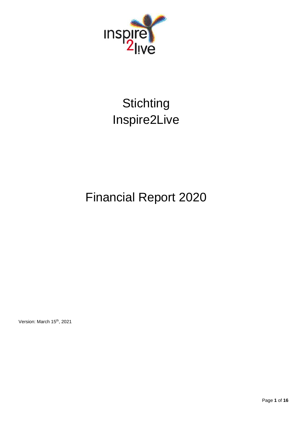

# **Stichting** Inspire2Live

# Financial Report 2020

Version: March 15<sup>th</sup>, 2021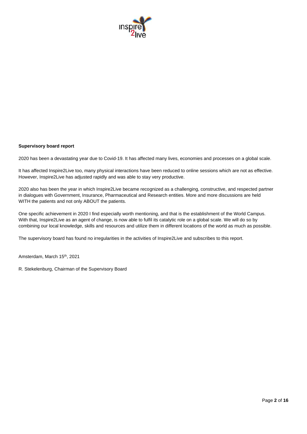

#### **Supervisory board report**

2020 has been a devastating year due to Covid-19. It has affected many lives, economies and processes on a global scale.

It has affected Inspire2Live too, many physical interactions have been reduced to online sessions which are not as effective. However, Inspire2Live has adjusted rapidly and was able to stay very productive.

2020 also has been the year in which Inspire2Live became recognized as a challenging, constructive, and respected partner in dialogues with Government, Insurance, Pharmaceutical and Research entities. More and more discussions are held WITH the patients and not only ABOUT the patients.

One specific achievement in 2020 I find especially worth mentioning, and that is the establishment of the World Campus. With that, Inspire2Live as an agent of change, is now able to fulfil its catalytic role on a global scale. We will do so by combining our local knowledge, skills and resources and utilize them in different locations of the world as much as possible.

The supervisory board has found no irregularities in the activities of Inspire2Live and subscribes to this report.

Amsterdam, March 15th, 2021

R. Stekelenburg, Chairman of the Supervisory Board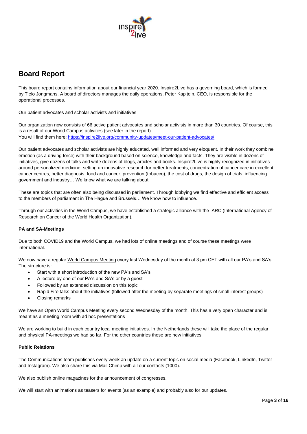

## **Board Report**

This board report contains information about our financial year 2020. Inspire2Live has a governing board, which is formed by Tielo Jongmans. A board of directors manages the daily operations. Peter Kapitein, CEO, is responsible for the operational processes.

Our patient advocates and scholar activists and initiatives

Our organization now consists of 66 active patient advocates and scholar activists in more than 30 countries. Of course, this is a result of our World Campus activities (see later in the report). You will find them here: [https://inspire2live.org/community-updates/meet-our-patient-advocates/](https://inspire2live.org/community-updates/meet-our-patient-advocates/%22%20/)

Our patient advocates and scholar activists are highly educated, well informed and very eloquent. In their work they combine emotion (as a driving force) with their background based on science, knowledge and facts. They are visible in dozens of initiatives, give dozens of talks and write dozens of blogs, articles and books. Inspire2Live is highly recognized in initiatives around personalized medicine, setting up innovative research for better treatments, concentration of cancer care in excellent cancer centres, better diagnosis, food and cancer, prevention (tobacco), the cost of drugs, the design of trials, influencing government and industry… We know what we are talking about.

These are topics that are often also being discussed in parliament. Through lobbying we find effective and efficient access to the members of parliament in The Hague and Brussels… We know how to influence.

Through our activities in the World Campus, we have established a strategic alliance with the IARC (International Agency of Research on Cancer of the World Health Organization).

#### **PA and SA-Meetings**

Due to both COVID19 and the World Campus, we had lots of online meetings and of course these meetings were international.

We now have a regular World Campus Meeting every last Wednesday of the month at 3 pm CET with all our PA's and SA's. The structure is:

- Start with a short introduction of the new PA's and SA's
- A lecture by one of our PA's and SA's or by a guest
- Followed by an extended discussion on this topic
- Rapid Fire talks about the initiatives (followed after the meeting by separate meetings of small interest groups)
- Closing remarks

We have an Open World Campus Meeting every second Wednesday of the month. This has a very open character and is meant as a meeting room with ad hoc presentations

We are working to build in each country local meeting initiatives. In the Netherlands these will take the place of the regular and physical PA-meetings we had so far. For the other countries these are new initiatives.

#### **Public Relations**

The Communications team publishes every week an update on a current topic on social media (Facebook, LinkedIn, Twitter and Instagram). We also share this via Mail Chimp with all our contacts (1000).

We also publish online magazines for the announcement of congresses.

We will start with animations as teasers for events (as an example) and probably also for our updates.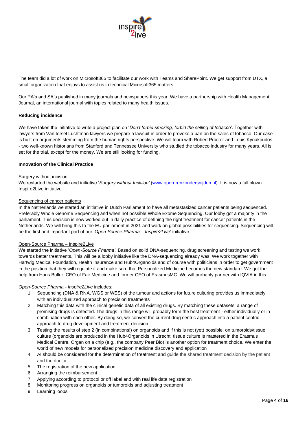

The team did a lot of work on Microsoft365 to facilitate our work with Teams and SharePoint. We get support from DTX, a small organization that enjoys to assist us in technical Microsoft365 matters.

Our PA's and SA's published in many journals and newspapers this year. We have a partnership with Health Management Journal, an international journal with topics related to many health issues.

#### **Reducing incidence**

We have taken the initiative to write a project plan on '*Don't forbid smoking, forbid the selling of tobacco*'. Together with lawyers from Van Iersel Luchtman lawyers we prepare a lawsuit in order to provoke a ban on the sales of tobacco. Our case is built on arguments stemming from the human rights perspective. We will team with Robert Proctor and Louis Kyriakoudos - two well-known historians from Stanford and Tennessee University who studied the tobacco industry for many years. All is set for the trial, except for the money. We are still looking for funding.

#### **Innovation of the Clinical Practice**

#### **Surgery without incision**

We restarted the website and initiative '*Surgery without Incision'* [\(www.opererenzondersnijden.nl\)](http://www.opererenzondersnijden.nl/). It is now a full blown Inspire2Live initiative.

#### Sequencing of cancer patients

In the Netherlands we started an initiative in Dutch Parliament to have all metastasized cancer patients being sequenced. Preferably Whole Genome Sequencing and when not possible Whole Exome Sequencing. Our lobby got a majority in the parliament. This decision is now worked out in daily practice of defining the right treatment for cancer patients in the Netherlands. We will bring this to the EU parliament in 2021 and work on global possibilities for sequencing. Sequencing will be the first and important part of our '*Open-Source Pharma – Inspire2Live*' initiative.

#### Open-Source Pharma – Inspire2Live

We started the initiative '*Open-Source Pharma'*. Based on solid DNA-sequencing, drug screening and testing we work towards better treatments. This will be a lobby initiative like the DNA-sequencing already was. We work together with Hartwig Medical Foundation, Health Insurance and Hub4Organoids and of course with politicians in order to get government in the position that they will regulate it and make sure that Personalized Medicine becomes the new standard. We got the help from Hans Buller, CEO of Fair Medicine and former CEO of ErasmusMC. We will probably partner with IQVIA in this.

#### *Open-Source Pharma - Inspire2Live* includes:

- 1. Sequencing (DNA & RNA, WGS or WES) of the tumour and actions for future culturing provides us immediately with an individualized approach to precision treatments
- 2. Matching this data with the clinical genetic data of all existing drugs. By matching these datasets, a range of promising drugs is detected. The drugs in this range will probably form the best treatment - either individually or in combination with each other. By doing so, we convert the current drug centric approach into a patient centric approach to drug development and treatment decision.
- 3. Testing the results of step 2 (in combinations!) on organoids and if this is not (yet) possible, on tumoroids/tissue culture (organoids are produced in the Hub4Organoids in Utrecht, tissue culture is mastered in the Erasmus Medical Centre. Organ on a chip (e.g., the company Peer Bio) is another option for treatment choice. We enter the world of new models for personalized precision medicine discovery and application
- 4. AI should be considered for the determination of treatment and guide the shared treatment decision by the patient and the doctor
- 5. The registration of the new application
- 6. Arranging the reimbursement
- 7. Applying according to protocol or off label and with real life data registration
- 8. Monitoring progress on organoids or tumoroids and adjusting treatment
- 9. Learning loops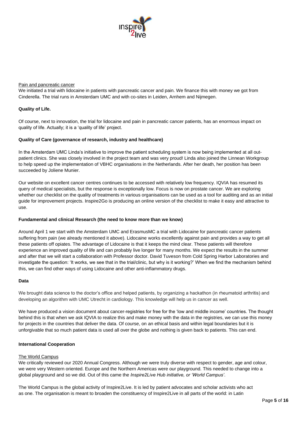

#### Pain and pancreatic cancer

We initiated a trial with lidocaine in patients with pancreatic cancer and pain. We finance this with money we got from Cinderella. The trial runs in Amsterdam UMC and with co-sites in Leiden, Arnhem and Nijmegen.

#### **Quality of Life.**

Of course, next to innovation, the trial for lidocaine and pain in pancreatic cancer patients, has an enormous impact on quality of life. Actually; it is a 'quality of life' project.

#### **Quality of Care (governance of research, industry and healthcare)**

In the Amsterdam UMC Linda's initiative to improve the patient scheduling system is now being implemented at all outpatient clinics. She was closely involved in the project team and was very proud! Linda also joined the Linnean Workgroup to help speed up the implementation of VBHC organisations in the Netherlands. After her death, her position has been succeeded by Joliene Munier.

Our website on excellent cancer centres continues to be accessed with relatively low frequency. IQVIA has resumed its query of medical specialists, but the response is exceptionally low. Focus is now on prostate cancer. We are exploring whether our checklist on the quality of treatments in various organisations can be used as a tool for auditing and as an initial guide for improvement projects. Inspire2Go is producing an online version of the checklist to make it easy and attractive to use.

#### **Fundamental and clinical Research (the need to know more than we know)**

Around April 1 we start with the Amsterdam UMC and ErasmusMC a trial with Lidocaine for pancreatic cancer patients suffering from pain (we already mentioned it above). Lidocaine works excellently against pain and provides a way to get all these patients off opiates. The advantage of Lidocaine is that it keeps the mind clear. These patients will therefore experience an improved quality of life and can probably live longer for many months. We expect the results in the summer and after that we will start a collaboration with Professor doctor. David Tuveson from Cold Spring Harbor Laboratories and investigate the question: 'It works, we see that in the trial/clinic, but why is it working?' When we find the mechanism behind this, we can find other ways of using Lidocaine and other anti-inflammatory drugs.

#### **Data**

We brought data science to the doctor's office and helped patients, by organizing a hackathon (in rheumatoid arthritis) and developing an algorithm with UMC Utrecht in cardiology. This knowledge will help us in cancer as well.

We have produced a vision document about cancer-registries for free for the 'low and middle income' countries. The thought behind this is that when we ask IQVIA to realize this and make money with the data in the registries, we can use this money for projects in the countries that deliver the data. Of course, on an ethical basis and within legal boundaries but it is unforgivable that so much patient data is used all over the globe and nothing is given back to patients. This can end.

#### **International Cooperation**

#### The World Campus

We critically reviewed our 2020 Annual Congress. Although we were truly diverse with respect to gender, age and colour, we were very Western oriented. Europe and the Northern Americas were our playground. This needed to change into a global playground and so we did. Out of this came the *Inspire2Live Hub initiative, or 'World Campus'*.

The World Campus is the global activity of Inspire2Live. It is led by patient advocates and scholar activists who act as one. The organisation is meant to broaden the constituency of Inspire2Live in all parts of the world: in Latin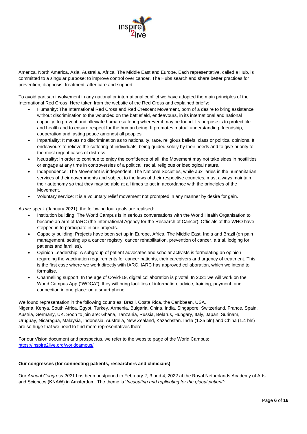

America, North America, Asia, Australia, Africa, The Middle East and Europe. Each representative, called a Hub, is committed to a singular purpose: to improve control over cancer. The Hubs search and share better practices for prevention, diagnosis, treatment, after care and support.

To avoid partisan involvement in any national or international conflict we have adopted the main principles of the International Red Cross. Here taken from the website of the Red Cross and explained briefly:

- Humanity: The International Red Cross and Red Crescent Movement, born of a desire to bring assistance without discrimination to the wounded on the battlefield, endeavours, in its international and national capacity, to prevent and alleviate human suffering wherever it may be found. Its purpose is to protect life and health and to ensure respect for the human being. It promotes mutual understanding, friendship, cooperation and lasting peace amongst all peoples.
- Impartiality: It makes no discrimination as to nationality, race, religious beliefs, class or political opinions. It endeavours to relieve the suffering of individuals, being guided solely by their needs and to give priority to the most urgent cases of distress.
- Neutrality: In order to continue to enjoy the confidence of all, the Movement may not take sides in hostilities or engage at any time in controversies of a political, racial, religious or ideological nature.
- Independence: The Movement is independent. The National Societies, while auxiliaries in the humanitarian services of their governments and subject to the laws of their respective countries, must always maintain their autonomy so that they may be able at all times to act in accordance with the principles of the Movement.
- Voluntary service: It is a voluntary relief movement not prompted in any manner by desire for gain.

As we speak (January 2021), the following four goals are realised:

- Institution building: The World Campus is in serious conversations with the World Health Organisation to become an arm of IARC (the International Agency for the Research of Cancer). Officials of the WHO have stepped in to participate in our projects.
- Capacity building: Projects have been set up in Europe, Africa, The Middle East, India and Brazil (on pain management, setting up a cancer registry, cancer rehabilitation, prevention of cancer, a trial, lodging for patients and families).
- Opinion Leadership: A subgroup of patient advocates and scholar activists is formulating an opinion regarding the vaccination requirements for cancer patients, their caregivers and urgency of treatment. This is the first case where we work directly with IARC. IARC has approved collaboration, which we intend to formalise.
- Channelling support: In the age of Covid-19, digital collaboration is pivotal. In 2021 we will work on the World Campus App ("WOCA"), they will bring facilities of information, advice, training, payment, and connection in one place: on a smart phone.

We found representation in the following countries: Brazil, Costa Rica, the Caribbean, USA, Nigeria, Kenya, South Africa, Egypt, Turkey, Armenia, Bulgaria, China, India, Singapore, Switzerland, France, Spain, Austria, Germany, UK. Soon to join are: Ghana, Tanzania, Russia, Belarus, Hungary, Italy, Japan, Surinam, Uruguay, Nicaragua, Malaysia, Indonesia, Australia, New Zealand, Kazachstan. India (1.35 bln) and China (1.4 bln) are so huge that we need to find more representatives there.

For our Vision document and prospectus, we refer to the website page of the World Campus: <https://inspire2live.org/worldcampus/>

#### **Our congresses (for connecting patients, researchers and clinicians)**

Our *Annual Congress 2021* has been postponed to February 2, 3 and 4, 2022 at the Royal Netherlands Academy of Arts and Sciences (KNAW) in Amsterdam. The theme is '*Incubating and replicating for the global patient':*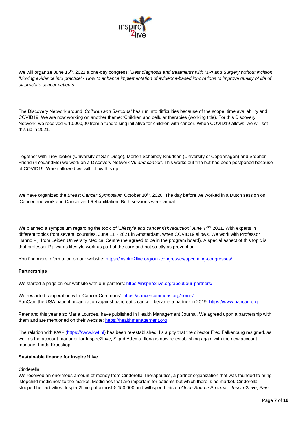

We will organize June 16th, 2021 a one-day congress: '*Best diagnosis and treatments with MRI and Surgery without incision 'Moving evidence into practice' - How to enhance implementation of evidence-based innovations to improve quality of life of all prostate cancer patients'.*

The Discovery Network around '*Children and Sarcoma'* has run into difficulties because of the scope, time availability and COVID19. We are now working on another theme: 'Children and cellular therapies (working title). For this Discovery Network, we received € 10.000,00 from a fundraising initiative for children with cancer. When COVID19 allows, we will set this up in 2021.

Together with Trey Ideker (University of San Diego), Morten Scheibey-Knudsen (University of Copenhagen) and Stephen Friend (4YouandMe) we work on a Discovery Network '*AI and cancer'*. This works out fine but has been postponed because of COVID19. When allowed we will follow this up.

We have organized the *Breast Cancer Symposium* October 10<sup>th</sup>, 2020. The day before we worked in a Dutch session on 'Cancer and work and Cancer and Rehabilitation. Both sessions were virtual.

We planned a symposium regarding the topic of '*Lifestyle and cancer risk reduction' June 11th,* 2021. With experts in different topics from several countries. June 11<sup>th,</sup> 2021 in Amsterdam, when COVID19 allows. We work with Professor Hanno Pijl from Leiden University Medical Centre (he agreed to be in the program board). A special aspect of this topic is that professor Pijl wants lifestyle work as part of the cure and not strictly as prevention.

You find more information on our website:<https://inspire2live.org/our-congresses/upcoming-congresses/>

#### **Partnerships**

We started a page on our website with our partners: [https://inspire2live.org/about/our-partners/](https://inspire2live.org/about/our-partners/%22%20/)

We restarted cooperation with 'Cancer Commons'[: https://cancercommons.org/home/](https://cancercommons.org/home/%22%20/) PanCan, the USA patient organization against pancreatic cancer, became a partner in 2019: https://www.pancan.org

Peter and this year also Maria Lourdes, have published in Health Management Journal. We agreed upon a partnership with them and are mentioned on their website: [https://healthmanagement.org](https://healthmanagement.org/)

The relation with KWF [\(https://www.kwf.nl\)](https://www.kwf.nl/) has been re-established. I's a pity that the director Fred Falkenburg resigned, as well as the account-manager for Inspire2Live, Sigrid Attema. Ilona is now re-establishing again with the new accountmanager Linda Kroeskop.

#### **Sustainable finance for Inspire2Live**

#### **Cinderella**

We received an enormous amount of money from Cinderella Therapeutics, a partner organization that was founded to bring 'stepchild medicines' to the market. Medicines that are important for patients but which there is no market. Cinderella stopped her activities. Inspire2Live got almost € 150.000 and will spend this on *Open-Source Pharma – Inspire2Live*, *Pain*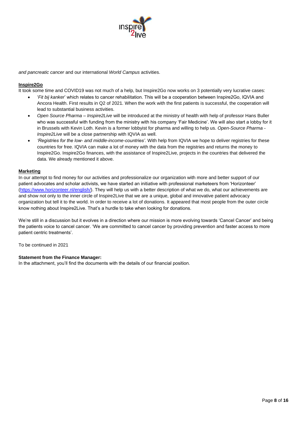

*and pancreatic cancer* and our international *World Campus* activities.

#### **Inspire2Go**

It took some time and COVID19 was not much of a help, but Inspire2Go now works on 3 potentially very lucrative cases:

- '*Fit bij kanker*' which relates to cancer rehabilitation. This will be a cooperation between Inspire2Go, IQVIA and Ancora Health. First results in Q2 of 2021. When the work with the first patients is successful, the cooperation will lead to substantial business activities.
- *Open Source Pharma – Inspire2Live* will be introduced at the ministry of health with help of professor Hans Buller who was successful with funding from the ministry with his company 'Fair Medicine'. We will also start a lobby for it in Brussels with Kevin Loth. Kevin is a former lobbyist for pharma and willing to help us. *Open-Source Pharma - Inspire2Live* will be a close partnership with IQVIA as well.
- *'Registries for the low- and middle-income-countries'.* With help from IQVIA we hope to deliver registries for these countries for free. IQVIA can make a lot of money with the data from the registries and returns the money to Inspire2Go. Inspire2Go finances, with the assistance of Inspire2Live, projects in the countries that delivered the data. We already mentioned it above.

#### **Marketing**

In our attempt to find money for our activities and professionalize our organization with more and better support of our patient advocates and scholar activists, we have started an initiative with professional marketeers from 'Horizonteer' [\(https://www.horizonteer.nl/english/\)](https://www.horizonteer.nl/english/). They will help us with a better description of what we do, what our achievements are and show not only to the inner circle of Inspire2Live that we are a unique, global and innovative patient advocacy organization but tell it to the world. In order to receive a lot of donations. It appeared that most people from the outer circle know nothing about Inspire2Live. That's a hurdle to take when looking for donations.

We're still in a discussion but it evolves in a direction where our mission is more evolving towards 'Cancel Cancer' and being the patients voice to cancel cancer. 'We are committed to cancel cancer by providing prevention and faster access to more patient centric treatments'.

To be continued in 2021

#### **Statement from the Finance Manager:**

In the attachment, you'll find the documents with the details of our financial position.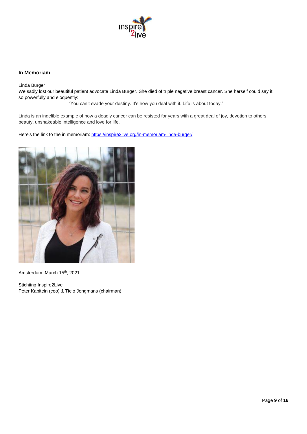

#### **In Memoriam**

Linda Burger

We sadly lost our beautiful patient advocate Linda Burger. She died of triple negative breast cancer. She herself could say it so powerfully and eloquently:

'You can't evade your destiny. It's how you deal with it. Life is about today.'

Linda is an indelible example of how a deadly cancer can be resisted for years with a great deal of joy, devotion to others, beauty, unshakeable intelligence and love for life.

Here's the link to the in memoriam:<https://inspire2live.org/in-memoriam-linda-burger/>



Amsterdam, March 15<sup>th</sup>, 2021

Stichting Inspire2Live Peter Kapitein (ceo) & Tielo Jongmans (chairman)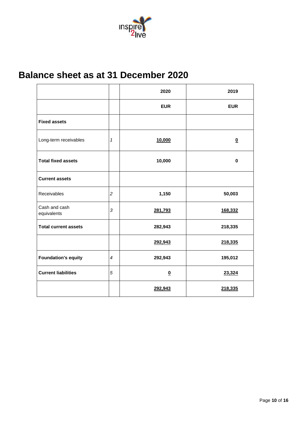

## **Balance sheet as at 31 December 2020**

|                              |                            | 2020                    | 2019                    |
|------------------------------|----------------------------|-------------------------|-------------------------|
|                              |                            | <b>EUR</b>              | <b>EUR</b>              |
| <b>Fixed assets</b>          |                            |                         |                         |
| Long-term receivables        | $\boldsymbol{\mathcal{I}}$ | 10,000                  | $\overline{\mathbf{0}}$ |
| <b>Total fixed assets</b>    |                            | 10,000                  | $\bf{0}$                |
| <b>Current assets</b>        |                            |                         |                         |
| Receivables                  | $\overline{2}$             | 1,150                   | 50,003                  |
| Cash and cash<br>equivalents | 3                          | 281,793                 | 168,332                 |
| <b>Total current assets</b>  |                            | 282,943                 | 218,335                 |
|                              |                            | 292,943                 | 218,335                 |
| <b>Foundation's equity</b>   | $\overline{4}$             | 292,943                 | 195,012                 |
| <b>Current liabilities</b>   | $\overline{5}$             | $\overline{\mathbf{0}}$ | 23,324                  |
|                              |                            | 292,943                 | 218,335                 |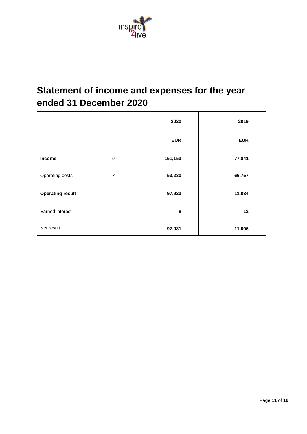

## **Statement of income and expenses for the year ended 31 December 2020**

|                         |                | 2020           | 2019       |
|-------------------------|----------------|----------------|------------|
|                         |                | <b>EUR</b>     | <b>EUR</b> |
| <b>Income</b>           | 6              | 151,153        | 77,841     |
| Operating costs         | $\overline{7}$ | 53,230         | 66,757     |
| <b>Operating result</b> |                | 97,923         | 11,084     |
| <b>Earned interest</b>  |                | $\overline{8}$ | 12         |
| Net result              |                | 97,931         | 11,096     |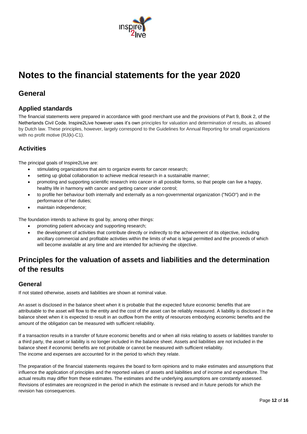

## **Notes to the financial statements for the year 2020**

## **General**

## **Applied standards**

The financial statements were prepared in accordance with good merchant use and the provisions of Part 9, Book 2, of the Netherlands Civil Code. Inspire2Live however uses it's own principles for valuation and determination of results, as allowed by Dutch law. These principles, however, largely correspond to the Guidelines for Annual Reporting for small organizations with no profit motive (RJ(k)-C1).

## **Activities**

The principal goals of Inspire2Live are:

- stimulating organizations that aim to organize events for cancer research;
- setting up global collaboration to achieve medical research in a sustainable manner;
- promoting and supporting scientific research into cancer in all possible forms, so that people can live a happy, healthy life in harmony with cancer and getting cancer under control;
- to profile her behaviour both internally and externally as a non-governmental organization ("NGO") and in the performance of her duties;
- maintain independence;

The foundation intends to achieve its goal by, among other things:

- promoting patient advocacy and supporting research;
- the development of activities that contribute directly or indirectly to the achievement of its objective, including ancillary commercial and profitable activities within the limits of what is legal permitted and the proceeds of which will become available at any time and are intended for achieving the objective.

## **Principles for the valuation of assets and liabilities and the determination of the results**

### **General**

If not stated otherwise, assets and liabilities are shown at nominal value.

An asset is disclosed in the balance sheet when it is probable that the expected future economic benefits that are attributable to the asset will flow to the entity and the cost of the asset can be reliably measured. A liability is disclosed in the balance sheet when it is expected to result in an outflow from the entity of resources embodying economic benefits and the amount of the obligation can be measured with sufficient reliability.

If a transaction results in a transfer of future economic benefits and or when all risks relating to assets or liabilities transfer to a third party, the asset or liability is no longer included in the balance sheet. Assets and liabilities are not included in the balance sheet if economic benefits are not probable or cannot be measured with sufficient reliability. The income and expenses are accounted for in the period to which they relate.

The preparation of the financial statements requires the board to form opinions and to make estimates and assumptions that influence the application of principles and the reported values of assets and liabilities and of income and expenditure. The actual results may differ from these estimates. The estimates and the underlying assumptions are constantly assessed. Revisions of estimates are recognized in the period in which the estimate is revised and in future periods for which the revision has consequences.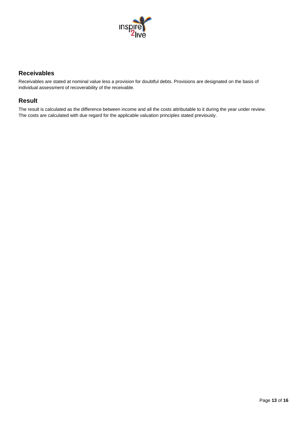

### **Receivables**

Receivables are stated at nominal value less a provision for doubtful debts. Provisions are designated on the basis of individual assessment of recoverability of the receivable.

### **Result**

The result is calculated as the difference between income and all the costs attributable to it during the year under review. The costs are calculated with due regard for the applicable valuation principles stated previously.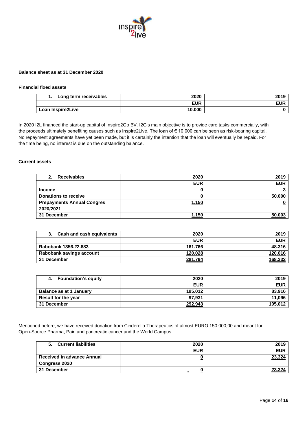

#### **Balance sheet as at 31 December 2020**

#### **Financial fixed assets**

| Long term receivables<br> | 2020       | 2019       |
|---------------------------|------------|------------|
|                           | <b>EUR</b> | <b>EUR</b> |
| Loan Inspire2Live         | 10,000     |            |

In 2020 I2L financed the start-up capital of Inspire2Go BV. I2G's main objective is to provide care tasks commercially, with the proceeds ultimately benefiting causes such as Inspire2Live. The loan of € 10,000 can be seen as risk-bearing capital. No repayment agreements have yet been made, but it is certainly the intention that the loan will eventually be repaid. For the time being, no interest is due on the outstanding balance.

#### **Current assets**

| <b>Receivables</b><br>2.          | 2020         | 2019       |
|-----------------------------------|--------------|------------|
|                                   | <b>EUR</b>   | <b>EUR</b> |
| <b>Income</b>                     |              |            |
| <b>Donations to receive</b>       |              | 50.000     |
| <b>Prepayments Annual Congres</b> | <u>1.150</u> |            |
| 2020/2021                         |              |            |
| 31 December                       | 1.150        | 50.003     |

| Cash and cash equivalents | 2020       | 2019       |
|---------------------------|------------|------------|
|                           | <b>EUR</b> | <b>EUR</b> |
| Rabobank 1356.22.883      | 161.766    | 48.316     |
| Rabobank savings account  | 120.028    | 120.016    |
| 31 December               | 281.794    | 168.332    |

| <b>Foundation's equity</b><br>4. | 2020       | 2019       |
|----------------------------------|------------|------------|
|                                  | <b>EUR</b> | <b>EUR</b> |
| Balance as at 1 January          | 195.012    | 83.916     |
| Result for the year              | 97,931     | 11,096     |
| 31 December                      | 292.943    | 195,012    |

Mentioned before, we have received donation from Cinderella Therapeutics of almost EURO 150.000,00 and meant for Open-Source Pharma, Pain and pancreatic cancer and the World Campus.

| <b>Current liabilities</b><br>5.  | 2020       | 2019       |
|-----------------------------------|------------|------------|
|                                   | <b>EUR</b> | <b>EUR</b> |
| <b>Received in advance Annual</b> |            | 23,324     |
| <b>Congress 2020</b>              |            |            |
| 31 December                       |            | 23.324     |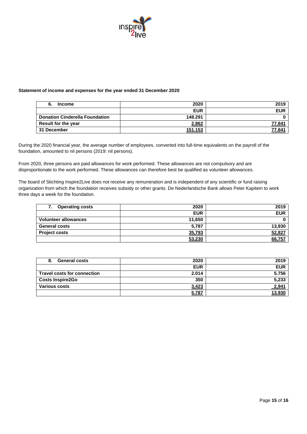

#### **Statement of income and expenses for the year ended 31 December 2020**

| 6.<br><b>Income</b>                   | 2020           | 2019          |
|---------------------------------------|----------------|---------------|
|                                       | <b>EUR</b>     | <b>EUR</b>    |
| <b>Donation Cinderella Foundation</b> | 148.291        |               |
| Result for the year                   | 2.862          | 77.841        |
| 31 December                           | <u>151.153</u> | <u>77.841</u> |

During the 2020 financial year, the average number of employees, converted into full-time equivalents on the payroll of the foundation, amounted to nil persons (2019: nil persons).

From 2020, three persons are paid allowances for work performed. These allowances are not compulsory and are disproportionate to the work performed. These allowances can therefore best be qualified as volunteer allowances.

The board of Stichting Inspire2Live does not receive any remuneration and is independent of any scientific or fund raising organization from which the foundation receives subsidy or other grants. De Nederlandsche Bank allows Peter Kapitein to work three days a week for the foundation.

| <b>Operating costs</b><br>7. | 2020       | 2019       |
|------------------------------|------------|------------|
|                              | <b>EUR</b> | <b>EUR</b> |
| <b>Volunteer allowances</b>  | 11.650     |            |
| <b>General costs</b>         | 5,787      | 13,930     |
| <b>Project costs</b>         | 35,793     | 52,827     |
|                              | 53,230     | 66,757     |

| <b>General costs</b><br>8.         | 2020       | 2019       |
|------------------------------------|------------|------------|
|                                    | <b>EUR</b> | <b>EUR</b> |
| <b>Travel costs for connection</b> | 2.014      | 5.756      |
| <b>Costs Inspire2Go</b>            | 350        | 5,233      |
| <b>Various costs</b>               | 3,423      | 2,941      |
|                                    | 5.787      | 13.930     |